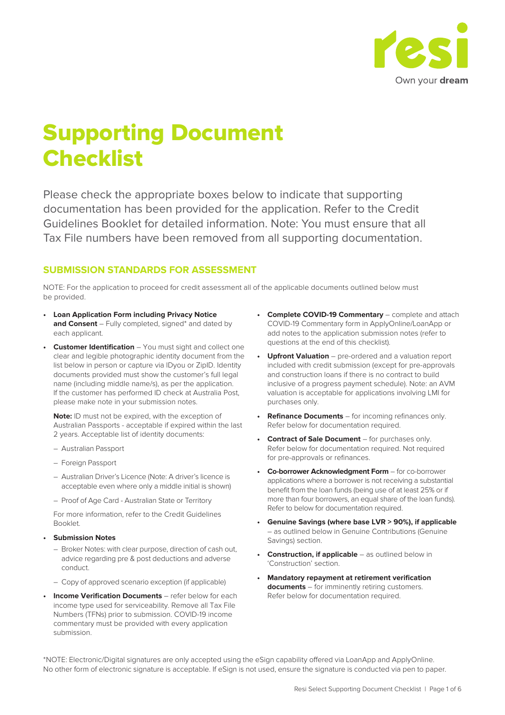

## Supporting Document **Checklist**

Please check the appropriate boxes below to indicate that supporting documentation has been provided for the application. Refer to the Credit Guidelines Booklet for detailed information. Note: You must ensure that all Tax File numbers have been removed from all supporting documentation.

#### **SUBMISSION STANDARDS FOR ASSESSMENT**

NOTE: For the application to proceed for credit assessment all of the applicable documents outlined below must be provided.

- **Loan Application Form including Privacy Notice and Consent** – Fully completed, signed\* and dated by each applicant.
- **• Customer Identification** You must sight and collect one clear and legible photographic identity document from the list below in person or capture via IDyou or ZipID. Identity documents provided must show the customer's full legal name (including middle name/s), as per the application. If the customer has performed ID check at Australia Post, please make note in your submission notes.

**Note:** ID must not be expired, with the exception of Australian Passports - acceptable if expired within the last 2 years. Acceptable list of identity documents:

- Australian Passport
- Foreign Passport
- Australian Driver's Licence (Note: A driver's licence is acceptable even where only a middle initial is shown)
- Proof of Age Card Australian State or Territory

For more information, refer to the Credit Guidelines Booklet.

- **Submission Notes**
	- Broker Notes: with clear purpose, direction of cash out, advice regarding pre & post deductions and adverse conduct.
	- Copy of approved scenario exception (if applicable)
- **Income Verification Documents** refer below for each income type used for serviceability. Remove all Tax File Numbers (TFNs) prior to submission. COVID-19 income commentary must be provided with every application submission.
- **Complete COVID-19 Commentary** complete and attach COVID-19 Commentary form in ApplyOnline/LoanApp or add notes to the application submission notes (refer to questions at the end of this checklist).
- **Upfront Valuation** pre-ordered and a valuation report included with credit submission (except for pre-approvals and construction loans if there is no contract to build inclusive of a progress payment schedule). Note: an AVM valuation is acceptable for applications involving LMI for purchases only.
- **Refinance Documents** for incoming refinances only. Refer below for documentation required.
- **Contract of Sale Document** for purchases only. Refer below for documentation required. Not required for pre-approvals or refinances.
- **Co-borrower Acknowledgment Form** for co-borrower applications where a borrower is not receiving a substantial benefit from the loan funds (being use of at least 25% or if more than four borrowers, an equal share of the loan funds). Refer to below for documentation required.
- **Genuine Savings (where base LVR > 90%), if applicable** – as outlined below in Genuine Contributions (Genuine Savings) section.
- **Construction, if applicable** as outlined below in 'Construction' section.
- **Mandatory repayment at retirement verification documents** – for imminently retiring customers. Refer below for documentation required.

\*NOTE: Electronic/Digital signatures are only accepted using the eSign capability offered via LoanApp and ApplyOnline. No other form of electronic signature is acceptable. If eSign is not used, ensure the signature is conducted via pen to paper.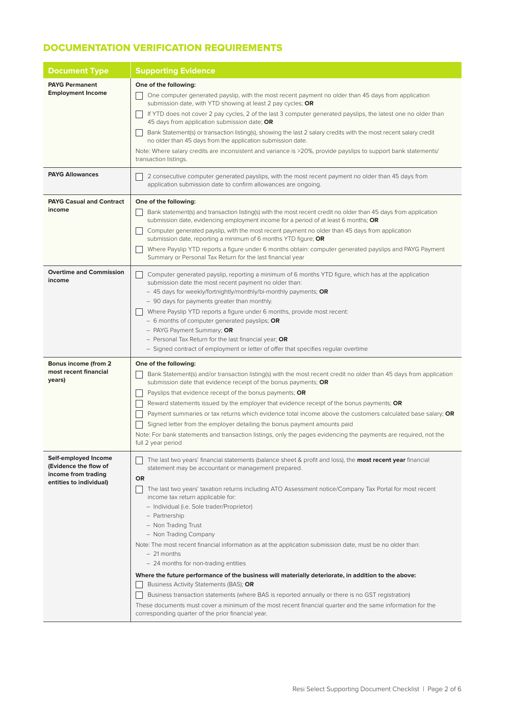### DOCUMENTATION VERIFICATION REQUIREMENTS

| <b>Document Type</b>                                                                            | <b>Supporting Evidence</b>                                                                                                                                                                                                                                           |  |  |
|-------------------------------------------------------------------------------------------------|----------------------------------------------------------------------------------------------------------------------------------------------------------------------------------------------------------------------------------------------------------------------|--|--|
| <b>PAYG Permanent</b>                                                                           | One of the following:                                                                                                                                                                                                                                                |  |  |
| <b>Employment Income</b>                                                                        | One computer generated payslip, with the most recent payment no older than 45 days from application<br>submission date, with YTD showing at least 2 pay cycles; OR                                                                                                   |  |  |
|                                                                                                 | If YTD does not cover 2 pay cycles, 2 of the last 3 computer generated payslips, the latest one no older than<br>45 days from application submission date; OR                                                                                                        |  |  |
|                                                                                                 | Bank Statement(s) or transaction listing(s), showing the last 2 salary credits with the most recent salary credit<br>no older than 45 days from the application submission date.                                                                                     |  |  |
|                                                                                                 | Note: Where salary credits are inconsistent and variance is >20%, provide payslips to support bank statements/<br>transaction listings.                                                                                                                              |  |  |
| <b>PAYG Allowances</b>                                                                          | 2 consecutive computer generated payslips, with the most recent payment no older than 45 days from<br>application submission date to confirm allowances are ongoing.                                                                                                 |  |  |
| <b>PAYG Casual and Contract</b>                                                                 | One of the following:                                                                                                                                                                                                                                                |  |  |
| income                                                                                          | Bank statement(s) and transaction listing(s) with the most recent credit no older than 45 days from application<br>submission date, evidencing employment income for a period of at least 6 months; OR                                                               |  |  |
|                                                                                                 | Computer generated payslip, with the most recent payment no older than 45 days from application<br>submission date, reporting a minimum of 6 months YTD figure; OR                                                                                                   |  |  |
|                                                                                                 | Where Payslip YTD reports a figure under 6 months obtain: computer generated payslips and PAYG Payment<br>Summary or Personal Tax Return for the last financial year                                                                                                 |  |  |
| <b>Overtime and Commission</b><br>income                                                        | Computer generated payslip, reporting a minimum of 6 months YTD figure, which has at the application<br>submission date the most recent payment no older than:                                                                                                       |  |  |
|                                                                                                 | - 45 days for weekly/fortnightly/monthly/bi-monthly payments; OR                                                                                                                                                                                                     |  |  |
|                                                                                                 | - 90 days for payments greater than monthly.                                                                                                                                                                                                                         |  |  |
|                                                                                                 | Where Payslip YTD reports a figure under 6 months, provide most recent:<br>- 6 months of computer generated payslips; OR                                                                                                                                             |  |  |
|                                                                                                 | - PAYG Payment Summary; OR                                                                                                                                                                                                                                           |  |  |
|                                                                                                 | - Personal Tax Return for the last financial year; OR                                                                                                                                                                                                                |  |  |
|                                                                                                 | - Signed contract of employment or letter of offer that specifies regular overtime                                                                                                                                                                                   |  |  |
| Bonus income (from 2                                                                            | One of the following:                                                                                                                                                                                                                                                |  |  |
| most recent financial<br>years)                                                                 | Bank Statement(s) and/or transaction listing(s) with the most recent credit no older than 45 days from application<br>submission date that evidence receipt of the bonus payments; OR                                                                                |  |  |
|                                                                                                 | Payslips that evidence receipt of the bonus payments; OR                                                                                                                                                                                                             |  |  |
|                                                                                                 | Reward statements issued by the employer that evidence receipt of the bonus payments; OR                                                                                                                                                                             |  |  |
|                                                                                                 | Payment summaries or tax returns which evidence total income above the customers calculated base salary; OR                                                                                                                                                          |  |  |
|                                                                                                 | Signed letter from the employer detailing the bonus payment amounts paid                                                                                                                                                                                             |  |  |
|                                                                                                 | Note: For bank statements and transaction listings, only the pages evidencing the payments are required, not the<br>full 2 year period                                                                                                                               |  |  |
| Self-employed Income<br>(Evidence the flow of<br>income from trading<br>entities to individual) | The last two years' financial statements (balance sheet & profit and loss), the <b>most recent year</b> financial<br>statement may be accountant or management prepared.<br>OR                                                                                       |  |  |
|                                                                                                 | The last two years' taxation returns including ATO Assessment notice/Company Tax Portal for most recent<br>income tax return applicable for:<br>- Individual (i.e. Sole trader/Proprietor)<br>- Partnership<br>- Non Trading Trust<br>- Non Trading Company          |  |  |
|                                                                                                 | Note: The most recent financial information as at the application submission date, must be no older than:<br>$-21$ months<br>- 24 months for non-trading entities                                                                                                    |  |  |
|                                                                                                 | Where the future performance of the business will materially deteriorate, in addition to the above:<br>Business Activity Statements (BAS); OR                                                                                                                        |  |  |
|                                                                                                 | Business transaction statements (where BAS is reported annually or there is no GST registration)<br>These documents must cover a minimum of the most recent financial quarter and the same information for the<br>corresponding quarter of the prior financial year. |  |  |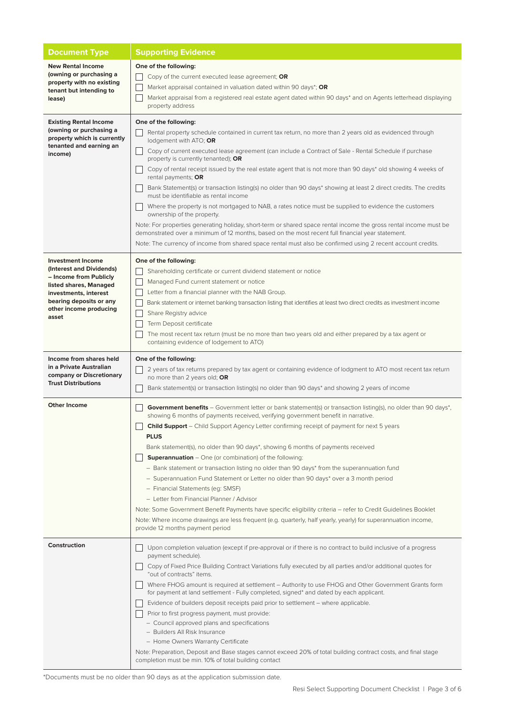| <b>Document Type</b>                                                                                                                                                                            | <b>Supporting Evidence</b>                                                                                                                                                                                                                                                                                                                                                                                                                                                                                                                                                                                                                                                                                                                                                                                                                                                                                                                                                                                                                                                                        |
|-------------------------------------------------------------------------------------------------------------------------------------------------------------------------------------------------|---------------------------------------------------------------------------------------------------------------------------------------------------------------------------------------------------------------------------------------------------------------------------------------------------------------------------------------------------------------------------------------------------------------------------------------------------------------------------------------------------------------------------------------------------------------------------------------------------------------------------------------------------------------------------------------------------------------------------------------------------------------------------------------------------------------------------------------------------------------------------------------------------------------------------------------------------------------------------------------------------------------------------------------------------------------------------------------------------|
| <b>New Rental Income</b><br>(owning or purchasing a<br>property with no existing<br>tenant but intending to<br>lease)                                                                           | One of the following:<br>Copy of the current executed lease agreement; OR<br>Market appraisal contained in valuation dated within 90 days*; OR<br>Market appraisal from a registered real estate agent dated within 90 days* and on Agents letterhead displaying<br>property address                                                                                                                                                                                                                                                                                                                                                                                                                                                                                                                                                                                                                                                                                                                                                                                                              |
| <b>Existing Rental Income</b><br>(owning or purchasing a<br>property which is currently<br>tenanted and earning an<br>income)                                                                   | One of the following:<br>Rental property schedule contained in current tax return, no more than 2 years old as evidenced through<br>lodgement with ATO; OR<br>Copy of current executed lease agreement (can include a Contract of Sale - Rental Schedule if purchase<br>property is currently tenanted); OR<br>Copy of rental receipt issued by the real estate agent that is not more than 90 days* old showing 4 weeks of<br>rental payments; OR<br>Bank Statement(s) or transaction listing(s) no older than 90 days* showing at least 2 direct credits. The credits<br>must be identifiable as rental income<br>Where the property is not mortgaged to NAB, a rates notice must be supplied to evidence the customers<br>ownership of the property.<br>Note: For properties generating holiday, short-term or shared space rental income the gross rental income must be<br>demonstrated over a minimum of 12 months, based on the most recent full financial year statement.<br>Note: The currency of income from shared space rental must also be confirmed using 2 recent account credits. |
| <b>Investment Income</b><br>(Interest and Dividends)<br>- Income from Publicly<br>listed shares, Managed<br>investments, interest<br>bearing deposits or any<br>other income producing<br>asset | One of the following:<br>Shareholding certificate or current dividend statement or notice<br>Managed Fund current statement or notice<br>Letter from a financial planner with the NAB Group.<br>Bank statement or internet banking transaction listing that identifies at least two direct credits as investment income<br>Share Registry advice<br>Term Deposit certificate<br>The most recent tax return (must be no more than two years old and either prepared by a tax agent or<br>containing evidence of lodgement to ATO)                                                                                                                                                                                                                                                                                                                                                                                                                                                                                                                                                                  |
| Income from shares held<br>in a Private Australian<br>company or Discretionary<br><b>Trust Distributions</b>                                                                                    | One of the following:<br>2 years of tax returns prepared by tax agent or containing evidence of lodgment to ATO most recent tax return<br>no more than 2 years old; OR<br>Bank statement(s) or transaction listing(s) no older than 90 days* and showing 2 years of income                                                                                                                                                                                                                                                                                                                                                                                                                                                                                                                                                                                                                                                                                                                                                                                                                        |
| <b>Other Income</b>                                                                                                                                                                             | <b>Government benefits</b> – Government letter or bank statement(s) or transaction listing(s), no older than 90 days*,<br>showing 6 months of payments received, verifying government benefit in narrative.<br><b>Child Support</b> – Child Support Agency Letter confirming receipt of payment for next 5 years<br><b>PLUS</b><br>Bank statement(s), no older than 90 days*, showing 6 months of payments received<br><b>Superannuation</b> $-$ One (or combination) of the following:<br>- Bank statement or transaction listing no older than 90 days* from the superannuation fund<br>- Superannuation Fund Statement or Letter no older than 90 days* over a 3 month period<br>- Financial Statements (eg: SMSF)<br>- Letter from Financial Planner / Advisor<br>Note: Some Government Benefit Payments have specific eligibility criteria - refer to Credit Guidelines Booklet<br>Note: Where income drawings are less frequent (e.g. quarterly, half yearly, yearly) for superannuation income,<br>provide 12 months payment period                                                        |
| Construction                                                                                                                                                                                    | Upon completion valuation (except if pre-approval or if there is no contract to build inclusive of a progress<br>payment schedule).<br>Copy of Fixed Price Building Contract Variations fully executed by all parties and/or additional quotes for<br>"out of contracts" items.<br>Where FHOG amount is required at settlement – Authority to use FHOG and Other Government Grants form<br>for payment at land settlement - Fully completed, signed* and dated by each applicant.<br>Evidence of builders deposit receipts paid prior to settlement - where applicable.<br>Prior to first progress payment, must provide:<br>- Council approved plans and specifications<br>- Builders All Risk Insurance<br>- Home Owners Warranty Certificate<br>Note: Preparation, Deposit and Base stages cannot exceed 20% of total building contract costs, and final stage<br>completion must be min. 10% of total building contact                                                                                                                                                                        |

\*Documents must be no older than 90 days as at the application submission date.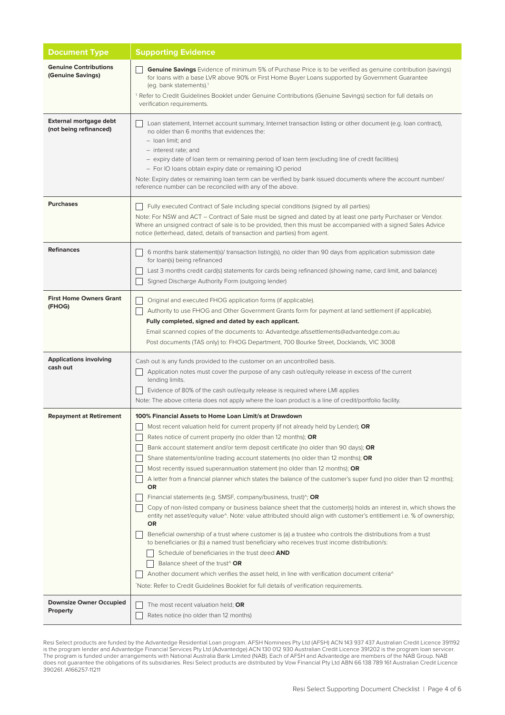| <b>Document Type</b>                              | <b>Supporting Evidence</b>                                                                                                                                                                                                                                                                                                                                                                                                                                                                                                                                                                                                                                                                                                                                                                                                                                                                                                                                                                                                                                                                                                                                                                                                                                                                                                                                                                                                                                           |
|---------------------------------------------------|----------------------------------------------------------------------------------------------------------------------------------------------------------------------------------------------------------------------------------------------------------------------------------------------------------------------------------------------------------------------------------------------------------------------------------------------------------------------------------------------------------------------------------------------------------------------------------------------------------------------------------------------------------------------------------------------------------------------------------------------------------------------------------------------------------------------------------------------------------------------------------------------------------------------------------------------------------------------------------------------------------------------------------------------------------------------------------------------------------------------------------------------------------------------------------------------------------------------------------------------------------------------------------------------------------------------------------------------------------------------------------------------------------------------------------------------------------------------|
| <b>Genuine Contributions</b><br>(Genuine Savings) | <b>Genuine Savings</b> Evidence of minimum 5% of Purchase Price is to be verified as genuine contribution (savings)<br>for loans with a base LVR above 90% or First Home Buyer Loans supported by Government Guarantee<br>(eg. bank statements). <sup>1</sup><br><sup>1</sup> Refer to Credit Guidelines Booklet under Genuine Contributions (Genuine Savings) section for full details on<br>verification requirements.                                                                                                                                                                                                                                                                                                                                                                                                                                                                                                                                                                                                                                                                                                                                                                                                                                                                                                                                                                                                                                             |
| External mortgage debt<br>(not being refinanced)  | Loan statement, Internet account summary, Internet transaction listing or other document (e.g. loan contract),<br>no older than 6 months that evidences the:<br>- loan limit; and<br>- interest rate; and<br>- expiry date of loan term or remaining period of loan term (excluding line of credit facilities)<br>- For IO loans obtain expiry date or remaining IO period<br>Note: Expiry dates or remaining loan term can be verified by bank issued documents where the account number/<br>reference number can be reconciled with any of the above.                                                                                                                                                                                                                                                                                                                                                                                                                                                                                                                                                                                                                                                                                                                                                                                                                                                                                                              |
| <b>Purchases</b>                                  | Fully executed Contract of Sale including special conditions (signed by all parties)<br>Note: For NSW and ACT – Contract of Sale must be signed and dated by at least one party Purchaser or Vendor.<br>Where an unsigned contract of sale is to be provided, then this must be accompanied with a signed Sales Advice<br>notice (letterhead, dated, details of transaction and parties) from agent.                                                                                                                                                                                                                                                                                                                                                                                                                                                                                                                                                                                                                                                                                                                                                                                                                                                                                                                                                                                                                                                                 |
| <b>Refinances</b>                                 | 6 months bank statement(s)/ transaction listing(s), no older than 90 days from application submission date<br>for loan(s) being refinanced<br>Last 3 months credit card(s) statements for cards being refinanced (showing name, card limit, and balance)<br>Signed Discharge Authority Form (outgoing lender)                                                                                                                                                                                                                                                                                                                                                                                                                                                                                                                                                                                                                                                                                                                                                                                                                                                                                                                                                                                                                                                                                                                                                        |
| <b>First Home Owners Grant</b><br>(FHOG)          | Original and executed FHOG application forms (if applicable).<br>Authority to use FHOG and Other Government Grants form for payment at land settlement (if applicable).<br>Fully completed, signed and dated by each applicant.<br>Email scanned copies of the documents to: Advantedge.afssettlements@advantedge.com.au<br>Post documents (TAS only) to: FHOG Department, 700 Bourke Street, Docklands, VIC 3008                                                                                                                                                                                                                                                                                                                                                                                                                                                                                                                                                                                                                                                                                                                                                                                                                                                                                                                                                                                                                                                    |
| <b>Applications involving</b><br>cash out         | Cash out is any funds provided to the customer on an uncontrolled basis.<br>Application notes must cover the purpose of any cash out/equity release in excess of the current<br>lending limits.<br>Evidence of 80% of the cash out/equity release is required where LMI applies<br>Note: The above criteria does not apply where the loan product is a line of credit/portfolio facility.                                                                                                                                                                                                                                                                                                                                                                                                                                                                                                                                                                                                                                                                                                                                                                                                                                                                                                                                                                                                                                                                            |
| <b>Repayment at Retirement</b>                    | 100% Financial Assets to Home Loan Limit/s at Drawdown<br>Most recent valuation held for current property (if not already held by Lender); OR<br>Rates notice of current property (no older than 12 months); $OR$<br>Bank account statement and/or term deposit certificate (no older than 90 days); OR<br>Share statements/online trading account statements (no older than 12 months); OR<br>Most recently issued superannuation statement (no older than 12 months); OR<br>A letter from a financial planner which states the balance of the customer's super fund (no older than 12 months);<br>OR<br>Financial statements (e.g. SMSF, company/business, trust) <sup>^</sup> ; OR<br>Copy of non-listed company or business balance sheet that the customer(s) holds an interest in, which shows the<br>entity net asset/equity value^. Note: value attributed should align with customer's entitlement i.e. % of ownership;<br><b>OR</b><br>Beneficial ownership of a trust where customer is (a) a trustee who controls the distributions from a trust<br>to beneficiaries or (b) a named trust beneficiary who receives trust income distribution/s:<br>Schedule of beneficiaries in the trust deed AND<br>Balance sheet of the trust <sup>^</sup> OR<br>Another document which verifies the asset held, in line with verification document criteria <sup>^</sup><br>"Note: Refer to Credit Guidelines Booklet for full details of verification requirements. |
| <b>Downsize Owner Occupied</b><br><b>Property</b> | The most recent valuation held; OR<br>Rates notice (no older than 12 months)                                                                                                                                                                                                                                                                                                                                                                                                                                                                                                                                                                                                                                                                                                                                                                                                                                                                                                                                                                                                                                                                                                                                                                                                                                                                                                                                                                                         |

Resi Select products are funded by the Advantedge Residential Loan program. AFSH Nominees Pty Ltd (AFSH) ACN 143 937 437 Australian Credit Licence 391192 is the program lender and Advantedge Financial Services Pty Ltd (Advantedge) ACN 130 012 930 Australian Credit Licence 391202 is the program loan servicer. The program is funded under arrangements with National Australia Bank Limited (NAB). Each of AFSH and Advantedge are members of the NAB Group. NAB does not guarantee the obligations of its subsidiaries. Resi Select products are distributed by Vow Financial Pty Ltd ABN 66 138 789 161 Australian Credit Licence 390261. A166257-11211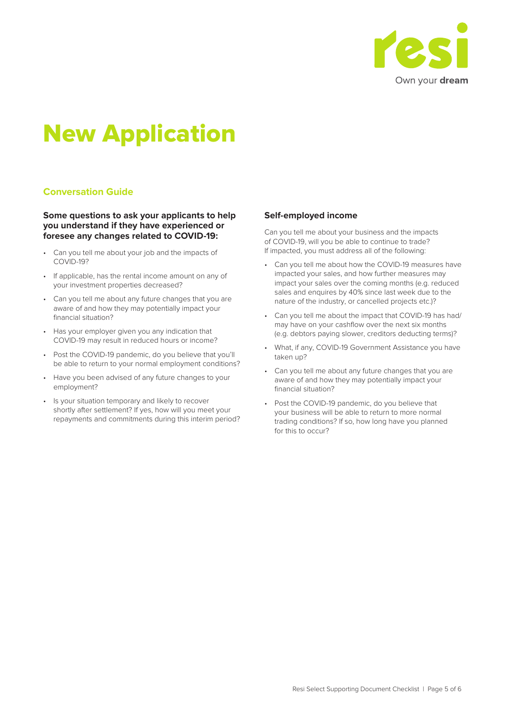

# New Application

#### **Conversation Guide**

#### **Some questions to ask your applicants to help you understand if they have experienced or foresee any changes related to COVID-19:**

- Can you tell me about your job and the impacts of COVID-19?
- If applicable, has the rental income amount on any of your investment properties decreased?
- Can you tell me about any future changes that you are aware of and how they may potentially impact your financial situation?
- Has your employer given you any indication that COVID-19 may result in reduced hours or income?
- Post the COVID-19 pandemic, do you believe that you'll be able to return to your normal employment conditions?
- Have you been advised of any future changes to your employment?
- Is your situation temporary and likely to recover shortly after settlement? If yes, how will you meet your repayments and commitments during this interim period?

#### **Self-employed income**

Can you tell me about your business and the impacts of COVID-19, will you be able to continue to trade? If impacted, you must address all of the following:

- Can you tell me about how the COVID-19 measures have impacted your sales, and how further measures may impact your sales over the coming months (e.g. reduced sales and enquires by 40% since last week due to the nature of the industry, or cancelled projects etc.)?
- Can you tell me about the impact that COVID-19 has had/ may have on your cashflow over the next six months (e.g. debtors paying slower, creditors deducting terms)?
- What, if any, COVID-19 Government Assistance you have taken up?
- Can you tell me about any future changes that you are aware of and how they may potentially impact your financial situation?
- Post the COVID-19 pandemic, do you believe that your business will be able to return to more normal trading conditions? If so, how long have you planned for this to occur?